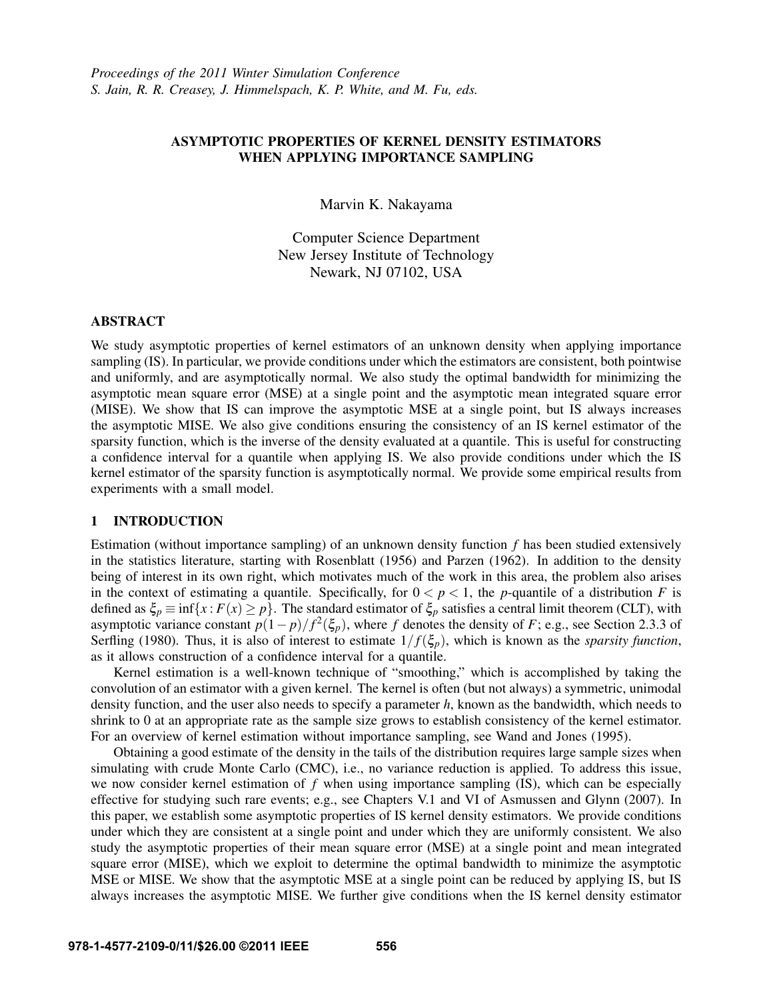# ASYMPTOTIC PROPERTIES OF KERNEL DENSITY ESTIMATORS WHEN APPLYING IMPORTANCE SAMPLING

Marvin K. Nakayama

Computer Science Department New Jersey Institute of Technology Newark, NJ 07102, USA

# ABSTRACT

We study asymptotic properties of kernel estimators of an unknown density when applying importance sampling (IS). In particular, we provide conditions under which the estimators are consistent, both pointwise and uniformly, and are asymptotically normal. We also study the optimal bandwidth for minimizing the asymptotic mean square error (MSE) at a single point and the asymptotic mean integrated square error (MISE). We show that IS can improve the asymptotic MSE at a single point, but IS always increases the asymptotic MISE. We also give conditions ensuring the consistency of an IS kernel estimator of the sparsity function, which is the inverse of the density evaluated at a quantile. This is useful for constructing a confidence interval for a quantile when applying IS. We also provide conditions under which the IS kernel estimator of the sparsity function is asymptotically normal. We provide some empirical results from experiments with a small model.

# 1 INTRODUCTION

Estimation (without importance sampling) of an unknown density function *f* has been studied extensively in the statistics literature, starting with Rosenblatt (1956) and Parzen (1962). In addition to the density being of interest in its own right, which motivates much of the work in this area, the problem also arises in the context of estimating a quantile. Specifically, for  $0 < p < 1$ , the *p*-quantile of a distribution *F* is defined as  $\xi_p \equiv \inf\{x : F(x) \ge p\}$ . The standard estimator of  $\xi_p$  satisfies a central limit theorem (CLT), with asymptotic variance constant  $p(1-p)/f^2(\xi_p)$ , where *f* denotes the density of *F*; e.g., see Section 2.3.3 of Serfling (1980). Thus, it is also of interest to estimate  $1/f(\xi_p)$ , which is known as the *sparsity function*, as it allows construction of a confidence interval for a quantile.

Kernel estimation is a well-known technique of "smoothing," which is accomplished by taking the convolution of an estimator with a given kernel. The kernel is often (but not always) a symmetric, unimodal density function, and the user also needs to specify a parameter *h*, known as the bandwidth, which needs to shrink to 0 at an appropriate rate as the sample size grows to establish consistency of the kernel estimator. For an overview of kernel estimation without importance sampling, see Wand and Jones (1995).

Obtaining a good estimate of the density in the tails of the distribution requires large sample sizes when simulating with crude Monte Carlo (CMC), i.e., no variance reduction is applied. To address this issue, we now consider kernel estimation of *f* when using importance sampling (IS), which can be especially effective for studying such rare events; e.g., see Chapters V.1 and VI of Asmussen and Glynn (2007). In this paper, we establish some asymptotic properties of IS kernel density estimators. We provide conditions under which they are consistent at a single point and under which they are uniformly consistent. We also study the asymptotic properties of their mean square error (MSE) at a single point and mean integrated square error (MISE), which we exploit to determine the optimal bandwidth to minimize the asymptotic MSE or MISE. We show that the asymptotic MSE at a single point can be reduced by applying IS, but IS always increases the asymptotic MISE. We further give conditions when the IS kernel density estimator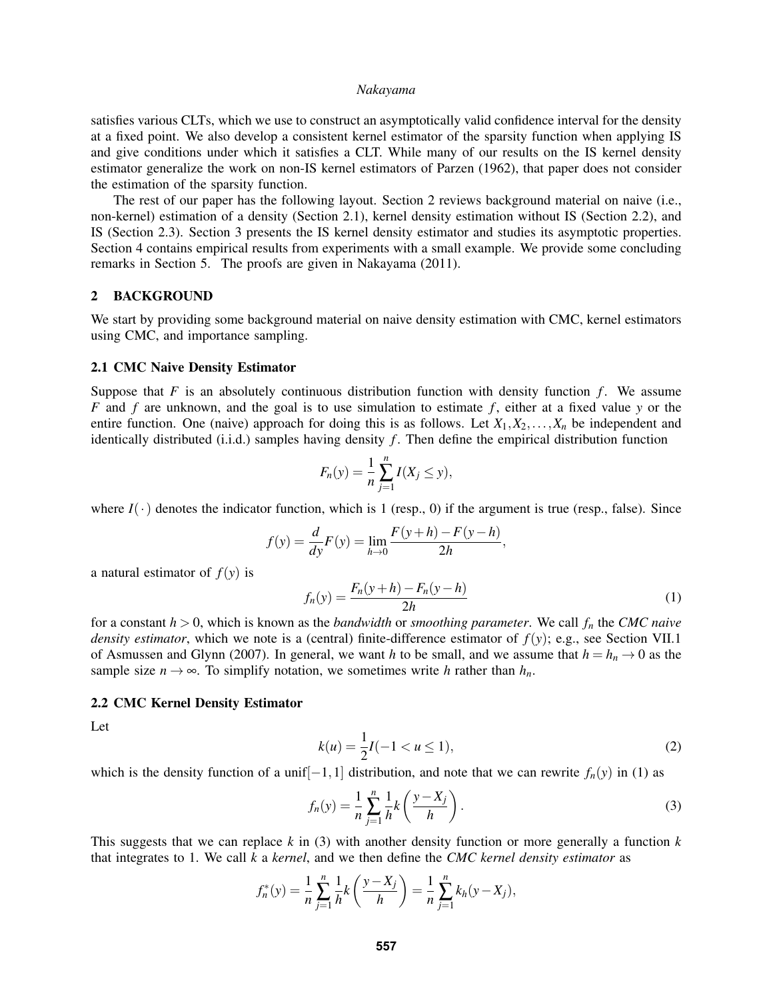satisfies various CLTs, which we use to construct an asymptotically valid confidence interval for the density at a fixed point. We also develop a consistent kernel estimator of the sparsity function when applying IS and give conditions under which it satisfies a CLT. While many of our results on the IS kernel density estimator generalize the work on non-IS kernel estimators of Parzen (1962), that paper does not consider the estimation of the sparsity function.

The rest of our paper has the following layout. Section 2 reviews background material on naive (i.e., non-kernel) estimation of a density (Section 2.1), kernel density estimation without IS (Section 2.2), and IS (Section 2.3). Section 3 presents the IS kernel density estimator and studies its asymptotic properties. Section 4 contains empirical results from experiments with a small example. We provide some concluding remarks in Section 5. The proofs are given in Nakayama (2011).

#### 2 BACKGROUND

We start by providing some background material on naive density estimation with CMC, kernel estimators using CMC, and importance sampling.

# 2.1 CMC Naive Density Estimator

Suppose that  $F$  is an absolutely continuous distribution function with density function  $f$ . We assume *F* and *f* are unknown, and the goal is to use simulation to estimate *f* , either at a fixed value *y* or the entire function. One (naive) approach for doing this is as follows. Let  $X_1, X_2, \ldots, X_n$  be independent and identically distributed (i.i.d.) samples having density  $f$ . Then define the empirical distribution function

$$
F_n(y) = \frac{1}{n} \sum_{j=1}^n I(X_j \le y),
$$

where  $I(\cdot)$  denotes the indicator function, which is 1 (resp., 0) if the argument is true (resp., false). Since

$$
f(y) = \frac{d}{dy}F(y) = \lim_{h \to 0} \frac{F(y+h) - F(y-h)}{2h},
$$

a natural estimator of  $f(y)$  is

$$
f_n(y) = \frac{F_n(y+h) - F_n(y-h)}{2h}
$$
 (1)

for a constant *h* > 0, which is known as the *bandwidth* or *smoothing parameter*. We call *f<sup>n</sup>* the *CMC naive density estimator*, which we note is a (central) finite-difference estimator of *f*(*y*); e.g., see Section VII.1 of Asmussen and Glynn (2007). In general, we want *h* to be small, and we assume that  $h = h_n \rightarrow 0$  as the sample size  $n \to \infty$ . To simplify notation, we sometimes write *h* rather than  $h_n$ .

# 2.2 CMC Kernel Density Estimator

Let

$$
k(u) = \frac{1}{2}I(-1 < u \le 1),\tag{2}
$$

which is the density function of a unif $[-1,1]$  distribution, and note that we can rewrite  $f_n(y)$  in (1) as

$$
f_n(y) = \frac{1}{n} \sum_{j=1}^n \frac{1}{h} k\left(\frac{y - X_j}{h}\right).
$$
 (3)

This suggests that we can replace *k* in (3) with another density function or more generally a function *k* that integrates to 1. We call *k* a *kernel*, and we then define the *CMC kernel density estimator* as

$$
f_n^*(y) = \frac{1}{n} \sum_{j=1}^n \frac{1}{n} k\left(\frac{y - X_j}{h}\right) = \frac{1}{n} \sum_{j=1}^n k_h(y - X_j),
$$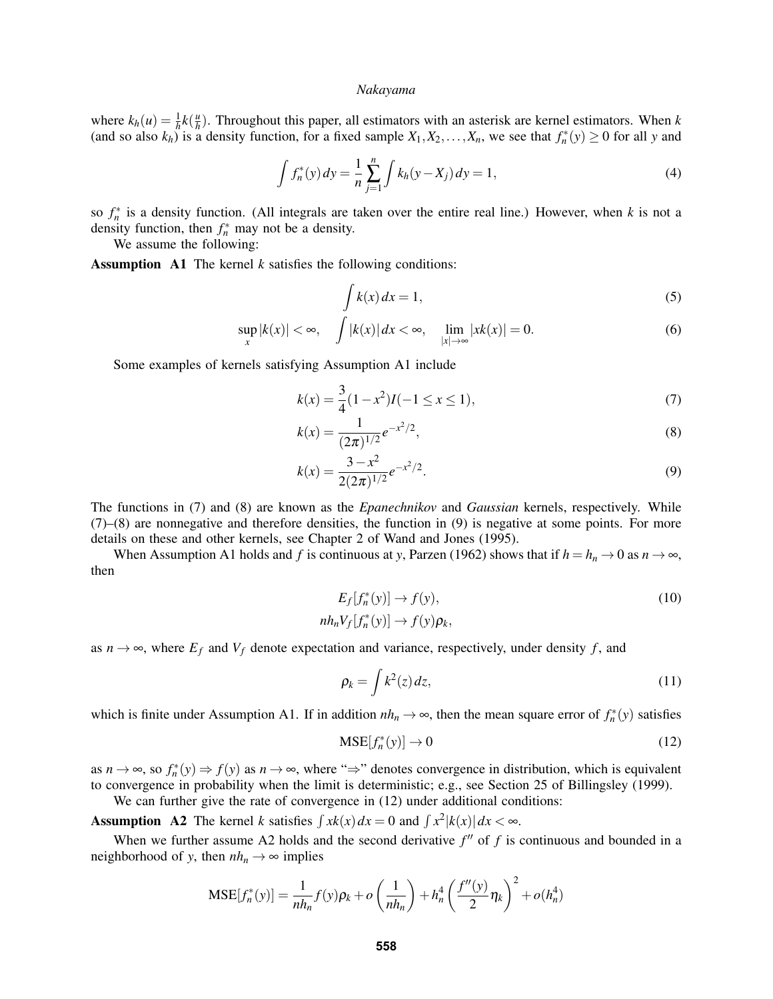where  $k_h(u) = \frac{1}{h}k(\frac{u}{h})$  $\frac{u}{h}$ ). Throughout this paper, all estimators with an asterisk are kernel estimators. When *k* (and so also  $k_h$ ) is a density function, for a fixed sample  $X_1, X_2, \ldots, X_n$ , we see that  $f_n^*(y) \ge 0$  for all y and

$$
\int f_n^*(y) \, dy = \frac{1}{n} \sum_{j=1}^n \int k_h(y - X_j) \, dy = 1,\tag{4}
$$

so  $f_n^*$  is a density function. (All integrals are taken over the entire real line.) However, when *k* is not a density function, then  $f_n^*$  may not be a density.

We assume the following:

Assumption A1 The kernel *k* satisfies the following conditions:

$$
\int k(x) dx = 1,\tag{5}
$$

$$
\sup_{x} |k(x)| < \infty, \quad \int |k(x)| \, dx < \infty, \quad \lim_{|x| \to \infty} |x(k)| = 0. \tag{6}
$$

Some examples of kernels satisfying Assumption A1 include

$$
k(x) = \frac{3}{4}(1 - x^2)I(-1 \le x \le 1),\tag{7}
$$

$$
k(x) = \frac{1}{(2\pi)^{1/2}} e^{-x^2/2},
$$
\n(8)

$$
k(x) = \frac{3 - x^2}{2(2\pi)^{1/2}} e^{-x^2/2}.
$$
\n(9)

The functions in (7) and (8) are known as the *Epanechnikov* and *Gaussian* kernels, respectively. While (7)–(8) are nonnegative and therefore densities, the function in (9) is negative at some points. For more details on these and other kernels, see Chapter 2 of Wand and Jones (1995).

When Assumption A1 holds and *f* is continuous at *y*, Parzen (1962) shows that if  $h = h_n \to 0$  as  $n \to \infty$ , then

$$
E_f[f_n^*(y)] \to f(y),
$$
  
\n
$$
nh_n V_f[f_n^*(y)] \to f(y)\rho_k,
$$
\n(10)

as  $n \to \infty$ , where  $E_f$  and  $V_f$  denote expectation and variance, respectively, under density f, and

$$
\rho_k = \int k^2(z) \, dz,\tag{11}
$$

which is finite under Assumption A1. If in addition  $nh_n \to \infty$ , then the mean square error of  $f_n^*(y)$  satisfies

$$
MSE[f_n^*(y)] \to 0 \tag{12}
$$

as  $n \to \infty$ , so  $f_n^*(y) \to f(y)$  as  $n \to \infty$ , where " $\Rightarrow$ " denotes convergence in distribution, which is equivalent to convergence in probability when the limit is deterministic; e.g., see Section 25 of Billingsley (1999).

We can further give the rate of convergence in  $(12)$  under additional conditions:

Assumption A2 The kernel *k* satisfies  $\int x k(x) dx = 0$  and  $\int x^2 |k(x)| dx < \infty$ .

When we further assume A2 holds and the second derivative  $f''$  of  $f$  is continuous and bounded in a neighborhood of *y*, then  $nh_n \to \infty$  implies

$$
MSE[f_n^*(y)] = \frac{1}{nh_n} f(y)\rho_k + o\left(\frac{1}{nh_n}\right) + h_n^4 \left(\frac{f''(y)}{2}\eta_k\right)^2 + o(h_n^4)
$$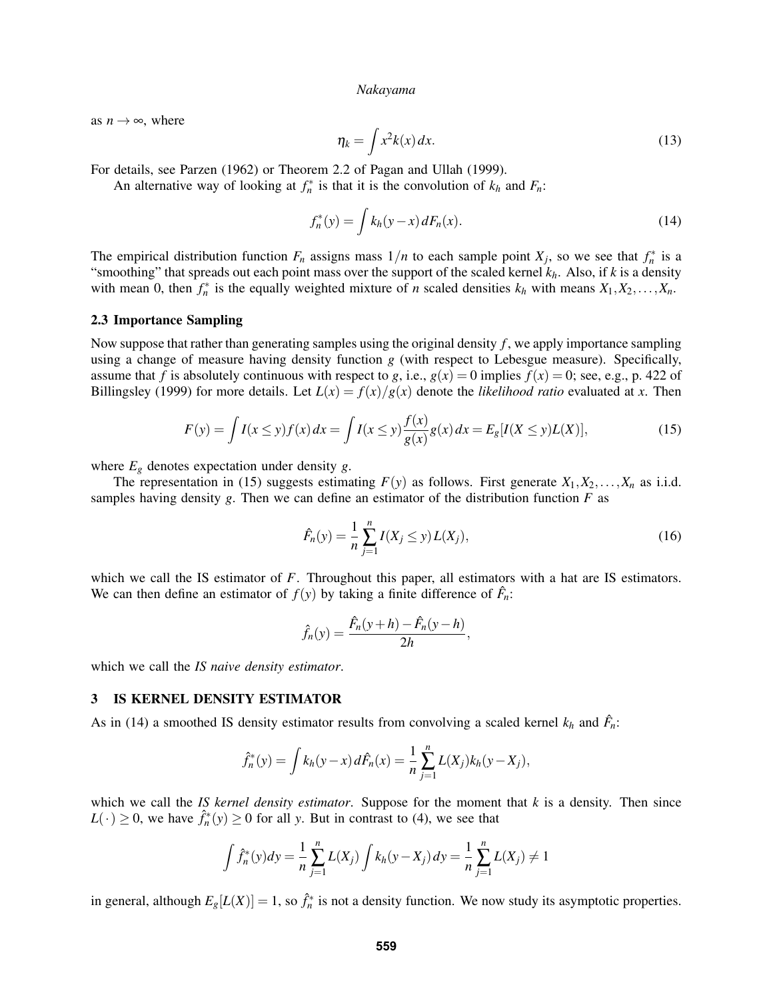as  $n \rightarrow \infty$ , where

$$
\eta_k = \int x^2 k(x) \, dx. \tag{13}
$$

For details, see Parzen (1962) or Theorem 2.2 of Pagan and Ullah (1999).

An alternative way of looking at  $f_n^*$  is that it is the convolution of  $k_h$  and  $F_n$ :

$$
f_n^*(y) = \int k_h(y - x) dF_n(x).
$$
 (14)

The empirical distribution function  $F_n$  assigns mass  $1/n$  to each sample point  $X_j$ , so we see that  $f_n^*$  is a "smoothing" that spreads out each point mass over the support of the scaled kernel *kh*. Also, if *k* is a density with mean 0, then  $f_n^*$  is the equally weighted mixture of *n* scaled densities  $k_h$  with means  $X_1, X_2, \ldots, X_n$ .

### 2.3 Importance Sampling

Now suppose that rather than generating samples using the original density *f* , we apply importance sampling using a change of measure having density function *g* (with respect to Lebesgue measure). Specifically, assume that *f* is absolutely continuous with respect to *g*, i.e.,  $g(x) = 0$  implies  $f(x) = 0$ ; see, e.g., p. 422 of Billingsley (1999) for more details. Let  $L(x) = f(x)/g(x)$  denote the *likelihood ratio* evaluated at *x*. Then

$$
F(y) = \int I(x \le y) f(x) dx = \int I(x \le y) \frac{f(x)}{g(x)} g(x) dx = E_g[I(X \le y)L(X)],
$$
\n(15)

where  $E_g$  denotes expectation under density *g*.

The representation in (15) suggests estimating  $F(y)$  as follows. First generate  $X_1, X_2, \ldots, X_n$  as i.i.d. samples having density  $g$ . Then we can define an estimator of the distribution function  $F$  as

$$
\hat{F}_n(y) = \frac{1}{n} \sum_{j=1}^n I(X_j \le y) L(X_j), \tag{16}
$$

which we call the IS estimator of *F*. Throughout this paper, all estimators with a hat are IS estimators. We can then define an estimator of  $f(y)$  by taking a finite difference of  $\hat{F}_n$ :

$$
\hat{f}_n(y) = \frac{\hat{F}_n(y+h) - \hat{F}_n(y-h)}{2h},
$$

which we call the *IS naive density estimator*.

#### 3 IS KERNEL DENSITY ESTIMATOR

As in (14) a smoothed IS density estimator results from convolving a scaled kernel  $k_h$  and  $\hat{F}_n$ :

$$
\hat{f}_n^*(y) = \int k_h(y-x) \, d\hat{F}_n(x) = \frac{1}{n} \sum_{j=1}^n L(X_j) k_h(y-X_j),
$$

which we call the *IS kernel density estimator*. Suppose for the moment that *k* is a density. Then since  $L(\cdot) \ge 0$ , we have  $\hat{f}_n^*(y) \ge 0$  for all *y*. But in contrast to (4), we see that

$$
\int \hat{f}_n^*(y) dy = \frac{1}{n} \sum_{j=1}^n L(X_j) \int k_h(y - X_j) dy = \frac{1}{n} \sum_{j=1}^n L(X_j) \neq 1
$$

in general, although  $E_g[L(X)] = 1$ , so  $\hat{f}_n^*$  is not a density function. We now study its asymptotic properties.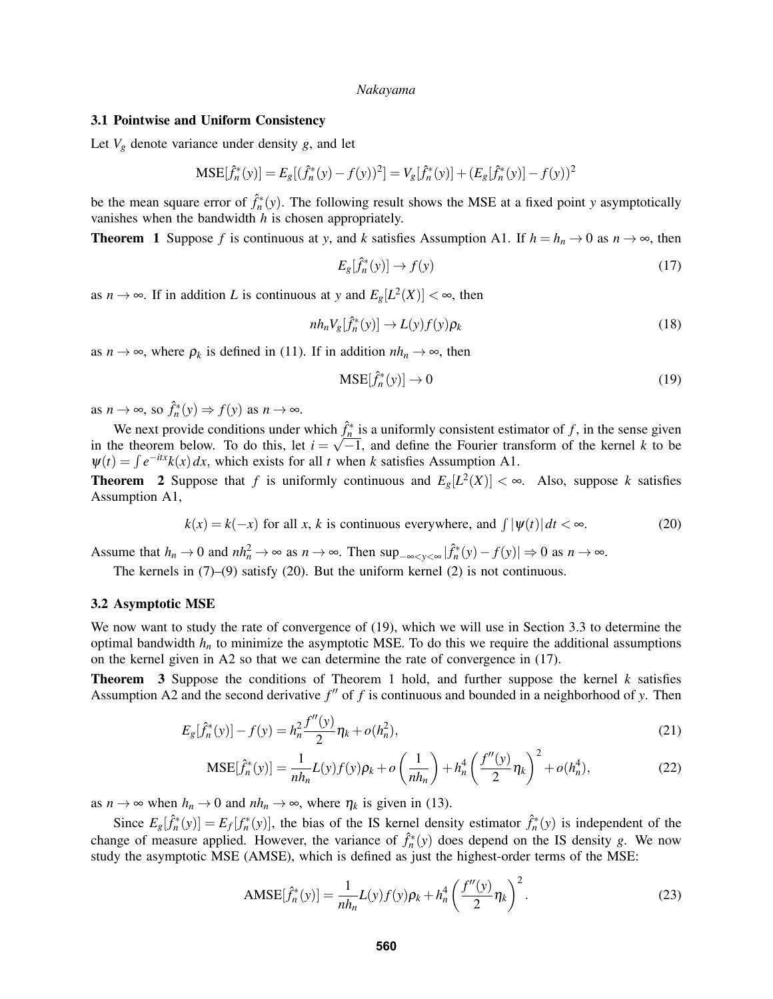### 3.1 Pointwise and Uniform Consistency

Let  $V_g$  denote variance under density  $g$ , and let

$$
\text{MSE}[\hat{f}_n^*(y)] = E_g[(\hat{f}_n^*(y) - f(y))^2] = V_g[\hat{f}_n^*(y)] + (E_g[\hat{f}_n^*(y)] - f(y))^2
$$

be the mean square error of  $\hat{f}_n^*(y)$ . The following result shows the MSE at a fixed point *y* asymptotically vanishes when the bandwidth *h* is chosen appropriately.

**Theorem 1** Suppose *f* is continuous at *y*, and *k* satisfies Assumption A1. If  $h = h_n \rightarrow 0$  as  $n \rightarrow \infty$ , then

$$
E_g[\hat{f}_n^*(y)] \to f(y) \tag{17}
$$

as  $n \to \infty$ . If in addition *L* is continuous at *y* and  $E_g[L^2(X)] < \infty$ , then

$$
nh_n V_g[\hat{f}_n^*(y)] \to L(y)f(y)\rho_k
$$
\n(18)

as  $n \to \infty$ , where  $\rho_k$  is defined in (11). If in addition  $nh_n \to \infty$ , then

$$
MSE[\hat{f}_n^*(y)] \to 0 \tag{19}
$$

as  $n \to \infty$ , so  $\hat{f}_n^*(y) \Rightarrow f(y)$  as  $n \to \infty$ .

We next provide conditions under which  $\hat{f}_n^*$  is a uniformly consistent estimator of *f*, in the sense given in the theorem below. To do this, let  $i = \sqrt{-1}$ , and define the Fourier transform of the kernel k to be  $\Psi(t) = \int e^{-itx}k(x) dx$ , which exists for all *t* when *k* satisfies Assumption A1.

**Theorem** 2 Suppose that *f* is uniformly continuous and  $E_g[L^2(X)] < \infty$ . Also, suppose *k* satisfies Assumption A1,

$$
k(x) = k(-x) \text{ for all } x, k \text{ is continuous everywhere, and } \int |\psi(t)| dt < \infty.
$$
 (20)

Assume that  $h_n \to 0$  and  $nh_n^2 \to \infty$  as  $n \to \infty$ . Then  $\sup_{-\infty < y < \infty} |\hat{f}_n^*(y) - f(y)| \to 0$  as  $n \to \infty$ .

The kernels in  $(7)-(9)$  satisfy  $(20)$ . But the uniform kernel  $(2)$  is not continuous.

#### 3.2 Asymptotic MSE

We now want to study the rate of convergence of (19), which we will use in Section 3.3 to determine the optimal bandwidth *h<sup>n</sup>* to minimize the asymptotic MSE. To do this we require the additional assumptions on the kernel given in A2 so that we can determine the rate of convergence in (17).

Theorem 3 Suppose the conditions of Theorem 1 hold, and further suppose the kernel *k* satisfies Assumption A2 and the second derivative  $f''$  of  $f$  is continuous and bounded in a neighborhood of  $y$ . Then

$$
E_g[\hat{f}_n^*(y)] - f(y) = h_n^2 \frac{f''(y)}{2} \eta_k + o(h_n^2),\tag{21}
$$

$$
MSE[\hat{f}_n^*(y)] = \frac{1}{nh_n} L(y)f(y)\rho_k + o\left(\frac{1}{nh_n}\right) + h_n^4 \left(\frac{f''(y)}{2}\eta_k\right)^2 + o(h_n^4),\tag{22}
$$

as  $n \to \infty$  when  $h_n \to 0$  and  $nh_n \to \infty$ , where  $\eta_k$  is given in (13).

Since  $E_g[\hat{f}_n^*(y)] = E_f[f_n^*(y)]$ , the bias of the IS kernel density estimator  $\hat{f}_n^*(y)$  is independent of the change of measure applied. However, the variance of  $\hat{f}_n^*(y)$  does depend on the IS density *g*. We now study the asymptotic MSE (AMSE), which is defined as just the highest-order terms of the MSE:

$$
AMSE[\hat{f}_n^*(y)] = \frac{1}{nh_n} L(y)f(y)\rho_k + h_n^4 \left(\frac{f''(y)}{2}\eta_k\right)^2.
$$
 (23)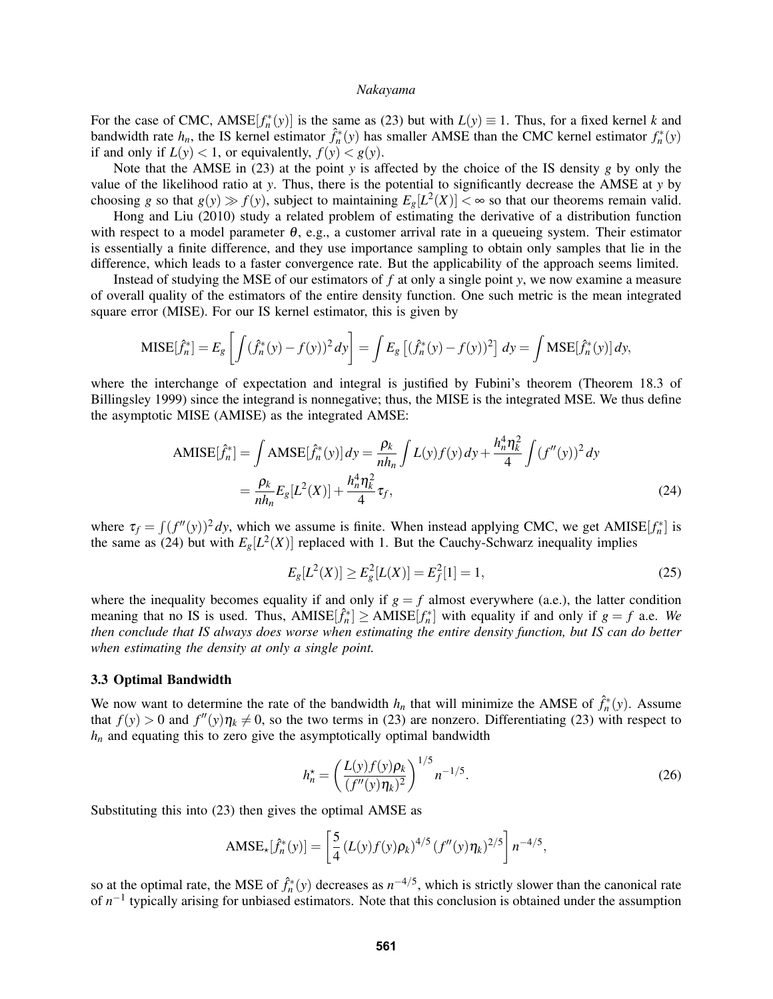For the case of CMC, AMSE $[f_n^*(y)]$  is the same as (23) but with  $L(y) \equiv 1$ . Thus, for a fixed kernel *k* and bandwidth rate  $h_n$ , the IS kernel estimator  $\hat{f}_n^*(y)$  has smaller AMSE than the CMC kernel estimator  $f_n^*(y)$ if and only if  $L(y) < 1$ , or equivalently,  $f(y) < g(y)$ .

Note that the AMSE in (23) at the point *y* is affected by the choice of the IS density *g* by only the value of the likelihood ratio at *y*. Thus, there is the potential to significantly decrease the AMSE at *y* by choosing *g* so that  $g(y) \gg f(y)$ , subject to maintaining  $E_g[L^2(X)] < \infty$  so that our theorems remain valid.

Hong and Liu (2010) study a related problem of estimating the derivative of a distribution function with respect to a model parameter  $\theta$ , e.g., a customer arrival rate in a queueing system. Their estimator is essentially a finite difference, and they use importance sampling to obtain only samples that lie in the difference, which leads to a faster convergence rate. But the applicability of the approach seems limited.

Instead of studying the MSE of our estimators of *f* at only a single point *y*, we now examine a measure of overall quality of the estimators of the entire density function. One such metric is the mean integrated square error (MISE). For our IS kernel estimator, this is given by

$$
\text{MISE}[\hat{f}_n^*] = E_g \left[ \int (\hat{f}_n^*(y) - f(y))^2 \, dy \right] = \int E_g \left[ (\hat{f}_n^*(y) - f(y))^2 \right] \, dy = \int \text{MSE}[\hat{f}_n^*(y)] \, dy,
$$

where the interchange of expectation and integral is justified by Fubini's theorem (Theorem 18.3 of Billingsley 1999) since the integrand is nonnegative; thus, the MISE is the integrated MSE. We thus define the asymptotic MISE (AMISE) as the integrated AMSE:

AMISE
$$
[\hat{f}_n^*]
$$
 =  $\int$  AMSE $[\hat{f}_n^*(y)] dy = \frac{\rho_k}{nh_n} \int L(y) f(y) dy + \frac{h_n^4 \eta_k^2}{4} \int (f''(y))^2 dy$   
=  $\frac{\rho_k}{nh_n} E_g[L^2(X)] + \frac{h_n^4 \eta_k^2}{4} \tau_f,$  (24)

where  $\tau_f = \int (f''(y))^2 dy$ , which we assume is finite. When instead applying CMC, we get AMISE $[f_n^*]$  is the same as (24) but with  $E_g[L^2(X)]$  replaced with 1. But the Cauchy-Schwarz inequality implies

$$
E_g[L^2(X)] \ge E_g^2[L(X)] = E_f^2[1] = 1,\tag{25}
$$

where the inequality becomes equality if and only if  $g = f$  almost everywhere (a.e.), the latter condition meaning that no IS is used. Thus,  $AMISE[\hat{f}_n^*] \geq AMISE[f_n^*]$  with equality if and only if  $g = f$  a.e. We *then conclude that IS always does worse when estimating the entire density function, but IS can do better when estimating the density at only a single point.*

### 3.3 Optimal Bandwidth

We now want to determine the rate of the bandwidth  $h_n$  that will minimize the AMSE of  $\hat{f}_n^*(y)$ . Assume that  $f(y) > 0$  and  $f''(y)\eta_k \neq 0$ , so the two terms in (23) are nonzero. Differentiating (23) with respect to  $h_n$  and equating this to zero give the asymptotically optimal bandwidth

$$
h_n^* = \left(\frac{L(y)f(y)\rho_k}{(f''(y)\eta_k)^2}\right)^{1/5} n^{-1/5}.
$$
 (26)

Substituting this into (23) then gives the optimal AMSE as

$$
AMSE_{\star}[\hat{f}_n^*(y)] = \left[\frac{5}{4}\left(L(y)f(y)\rho_k\right)^{4/5}\left(f''(y)\eta_k\right)^{2/5}\right]n^{-4/5},
$$

so at the optimal rate, the MSE of  $\hat{f}_n^*(y)$  decreases as  $n^{-4/5}$ , which is strictly slower than the canonical rate of  $n^{-1}$  typically arising for unbiased estimators. Note that this conclusion is obtained under the assumption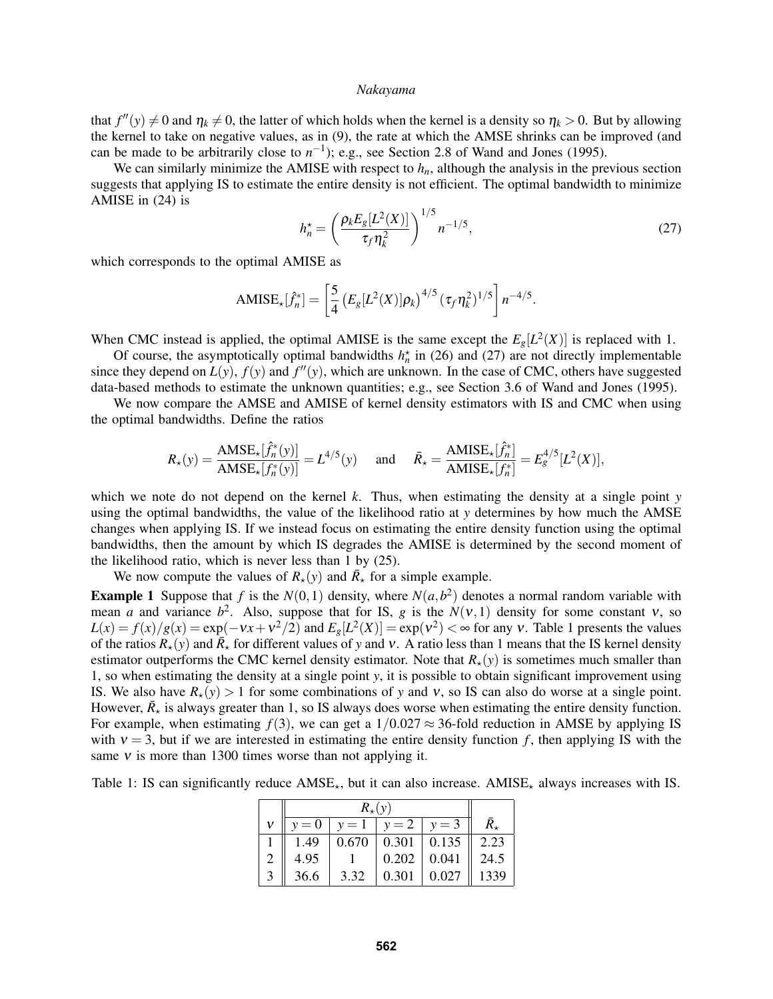that  $f''(y) \neq 0$  and  $\eta_k \neq 0$ , the latter of which holds when the kernel is a density so  $\eta_k > 0$ . But by allowing the kernel to take on negative values, as in (9), the rate at which the AMSE shrinks can be improved (and can be made to be arbitrarily close to  $n^{-1}$ ); e.g., see Section 2.8 of Wand and Jones (1995).

We can similarly minimize the AMISE with respect to  $h_n$ , although the analysis in the previous section suggests that applying IS to estimate the entire density is not efficient. The optimal bandwidth to minimize AMISE in (24) is

$$
h_n^* = \left(\frac{\rho_k E_g[L^2(X)]}{\tau_f \eta_k^2}\right)^{1/5} n^{-1/5},\tag{27}
$$

which corresponds to the optimal AMISE as

$$
AMISE_{\star}[\hat{f}_n^*] = \left[\frac{5}{4} \left(E_g[L^2(X)]\rho_k\right)^{4/5} \left(\tau_f \eta_k^2\right)^{1/5}\right] n^{-4/5}.
$$

When CMC instead is applied, the optimal AMISE is the same except the  $E_g[L^2(X)]$  is replaced with 1.

Of course, the asymptotically optimal bandwidths  $h_n^*$  in (26) and (27) are not directly implementable since they depend on  $L(y)$ ,  $f(y)$  and  $f''(y)$ , which are unknown. In the case of CMC, others have suggested data-based methods to estimate the unknown quantities; e.g., see Section 3.6 of Wand and Jones (1995).

We now compare the AMSE and AMISE of kernel density estimators with IS and CMC when using the optimal bandwidths. Define the ratios

$$
R_{\star}(y) = \frac{\text{AMSE}_{\star}[\hat{f}_n^*(y)]}{\text{AMSE}_{\star}[f_n^*(y)]} = L^{4/5}(y) \quad \text{and} \quad \bar{R}_{\star} = \frac{\text{AMISE}_{\star}[\hat{f}_n^*]}{\text{AMISE}_{\star}[f_n^*]} = E_g^{4/5}[L^2(X)],
$$

which we note do not depend on the kernel *k*. Thus, when estimating the density at a single point *y* using the optimal bandwidths, the value of the likelihood ratio at *y* determines by how much the AMSE changes when applying IS. If we instead focus on estimating the entire density function using the optimal bandwidths, then the amount by which IS degrades the AMISE is determined by the second moment of the likelihood ratio, which is never less than 1 by (25).

We now compute the values of  $R_{\star}(y)$  and  $\bar{R}_{\star}$  for a simple example.

**Example 1** Suppose that f is the  $N(0,1)$  density, where  $N(a,b^2)$  denotes a normal random variable with mean *a* and variance  $b^2$ . Also, suppose that for IS, *g* is the  $N(v,1)$  density for some constant v, so  $L(x) = f(x)/g(x) = \exp(-\nu x + \nu^2/2)$  and  $E_g[L^2(X)] = \exp(\nu^2) < \infty$  for any v. Table 1 presents the values of the ratios  $R_\star(y)$  and  $\overline{R}_\star$  for different values of y and v. A ratio less than 1 means that the IS kernel density estimator outperforms the CMC kernel density estimator. Note that  $R_{\star}(y)$  is sometimes much smaller than 1, so when estimating the density at a single point *y*, it is possible to obtain significant improvement using IS. We also have  $R_\star(y) > 1$  for some combinations of y and v, so IS can also do worse at a single point. However,  $\bar{R}_{\star}$  is always greater than 1, so IS always does worse when estimating the entire density function. For example, when estimating  $f(3)$ , we can get a  $1/0.027 \approx 36$ -fold reduction in AMSE by applying IS with  $v = 3$ , but if we are interested in estimating the entire density function f, then applying IS with the same  $v$  is more than 1300 times worse than not applying it.

Table 1: IS can significantly reduce  $AMSE_{\star}$ , but it can also increase. AMISE<sub> $\star$ </sub> always increases with IS.

|  | $v = 0$ | $v=1$ | $y = 2 \mid y = 3$      |       |                  |
|--|---------|-------|-------------------------|-------|------------------|
|  | 1.49    |       | $0.670 \mid 0.301 \mid$ | 0.135 | $\parallel 2.23$ |
|  | 4.95    |       | 0.202                   | 0.041 | 24.5             |
|  | 36.6    | 3.32  | 0.301                   | 0.027 | 1339             |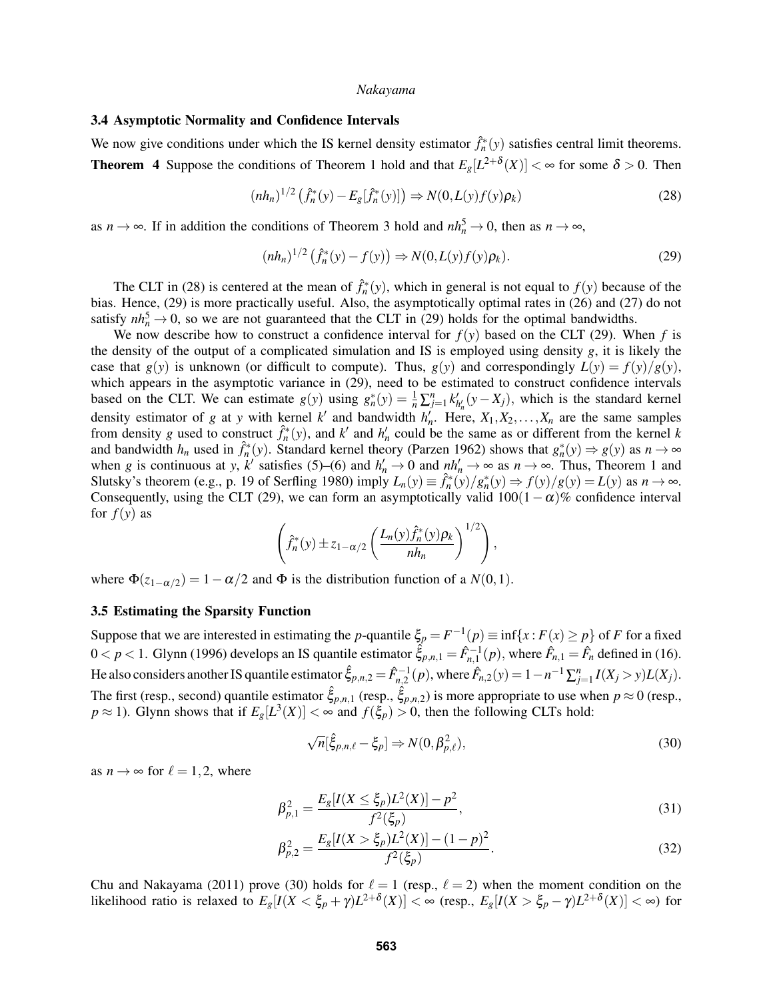# 3.4 Asymptotic Normality and Confidence Intervals

We now give conditions under which the IS kernel density estimator  $\hat{f}_n^*(y)$  satisfies central limit theorems. **Theorem 4** Suppose the conditions of Theorem 1 hold and that  $E_g[L^{2+\delta}(X)] < \infty$  for some  $\delta > 0$ . Then

$$
(nh_n)^{1/2} \left( \hat{f}_n^*(y) - E_g[\hat{f}_n^*(y)] \right) \Rightarrow N(0, L(y)f(y)\rho_k)
$$
 (28)

as  $n \to \infty$ . If in addition the conditions of Theorem 3 hold and  $nh_n^5 \to 0$ , then as  $n \to \infty$ ,

$$
(nh_n)^{1/2}(\hat{f}_n^*(y) - f(y)) \Rightarrow N(0, L(y)f(y)\rho_k). \tag{29}
$$

The CLT in (28) is centered at the mean of  $\hat{f}_n^*(y)$ , which in general is not equal to  $f(y)$  because of the bias. Hence, (29) is more practically useful. Also, the asymptotically optimal rates in (26) and (27) do not satisfy  $nh_n^5 \to 0$ , so we are not guaranteed that the CLT in (29) holds for the optimal bandwidths.

We now describe how to construct a confidence interval for  $f(y)$  based on the CLT (29). When  $f$  is the density of the output of a complicated simulation and IS is employed using density *g*, it is likely the case that  $g(y)$  is unknown (or difficult to compute). Thus,  $g(y)$  and correspondingly  $L(y) = f(y)/g(y)$ , which appears in the asymptotic variance in  $(29)$ , need to be estimated to construct confidence intervals based on the CLT. We can estimate  $g(y)$  using  $g_n^*(y) = \frac{1}{n} \sum_{j=1}^n k'_{h'_n}(y - X_j)$ , which is the standard kernel density estimator of *g* at *y* with kernel *k'* and bandwidth  $h'_n$ . Here,  $X_1, X_2, \ldots, X_n$  are the same samples from density *g* used to construct  $\hat{f}_n^*(y)$ , and  $k'$  and  $h'_n$  could be the same as or different from the kernel *k* and bandwidth  $h_n$  used in  $\hat{f}_n^*(y)$ . Standard kernel theory (Parzen 1962) shows that  $g_n^*(y) \Rightarrow g(y)$  as  $n \to \infty$ when *g* is continuous at *y*,  $k'$  satisfies (5)–(6) and  $h'_n \to 0$  and  $nh'_n \to \infty$  as  $n \to \infty$ . Thus, Theorem 1 and Slutsky's theorem (e.g., p. 19 of Serfling 1980) imply  $L_n(y) \equiv \hat{f}_n^*(y)/g_n^*(y) \Rightarrow f(y)/g(y) = L(y)$  as  $n \to \infty$ . Consequently, using the CLT (29), we can form an asymptotically valid  $100(1-\alpha)\%$  confidence interval for  $f(y)$  as

$$
\left(\hat{f}_n^*(y) \pm z_{1-\alpha/2} \left( \frac{L_n(y)\hat{f}_n^*(y)\rho_k}{nh_n} \right)^{1/2} \right),\,
$$

where  $\Phi(z_{1-\alpha/2}) = 1 - \alpha/2$  and  $\Phi$  is the distribution function of a *N*(0,1).

#### 3.5 Estimating the Sparsity Function

Suppose that we are interested in estimating the *p*-quantile  $\xi_p = F^{-1}(p) \equiv \inf\{x : F(x) \ge p\}$  of *F* for a fixed  $0 < p < 1$ . Glynn (1996) develops an IS quantile estimator  $\hat{\xi}_{p,n,1} = \hat{F}_{n,1}^{-1}(p)$ , where  $\hat{F}_{n,1} = \hat{F}_n$  defined in (16). He also considers another IS quantile estimator  $\hat{\xi}_{p,n,2} = \hat{F}_{n,2}^{-1}(p)$ , where  $\hat{F}_{n,2}(y) = 1 - n^{-1} \sum_{j=1}^{n} I(X_j > y) L(X_j)$ . The first (resp., second) quantile estimator  $\hat{\xi}_{p,n,1}$  (resp.,  $\hat{\xi}_{p,n,2}$ ) is more appropriate to use when  $p \approx 0$  (resp.,  $p \approx 1$ ). Glynn shows that if  $E_g[L^3(X)] < \infty$  and  $f(\xi_p) > 0$ , then the following CLTs hold:

$$
\sqrt{n}[\hat{\xi}_{p,n,\ell} - \xi_p] \Rightarrow N(0, \beta_{p,\ell}^2),\tag{30}
$$

as  $n \to \infty$  for  $\ell = 1, 2$ , where

$$
\beta_{p,1}^2 = \frac{E_g[I(X \le \xi_p)L^2(X)] - p^2}{f^2(\xi_p)},\tag{31}
$$

$$
\beta_{p,2}^2 = \frac{E_g[I(X > \xi_p)L^2(X)] - (1 - p)^2}{f^2(\xi_p)}.
$$
\n(32)

Chu and Nakayama (2011) prove (30) holds for  $\ell = 1$  (resp.,  $\ell = 2$ ) when the moment condition on the likelihood ratio is relaxed to  $E_g[I(X < \xi_p + \gamma)L^{2+\delta}(X)] < \infty$  (resp.,  $E_g[I(X > \xi_p - \gamma)L^{2+\delta}(X)] < \infty$ ) for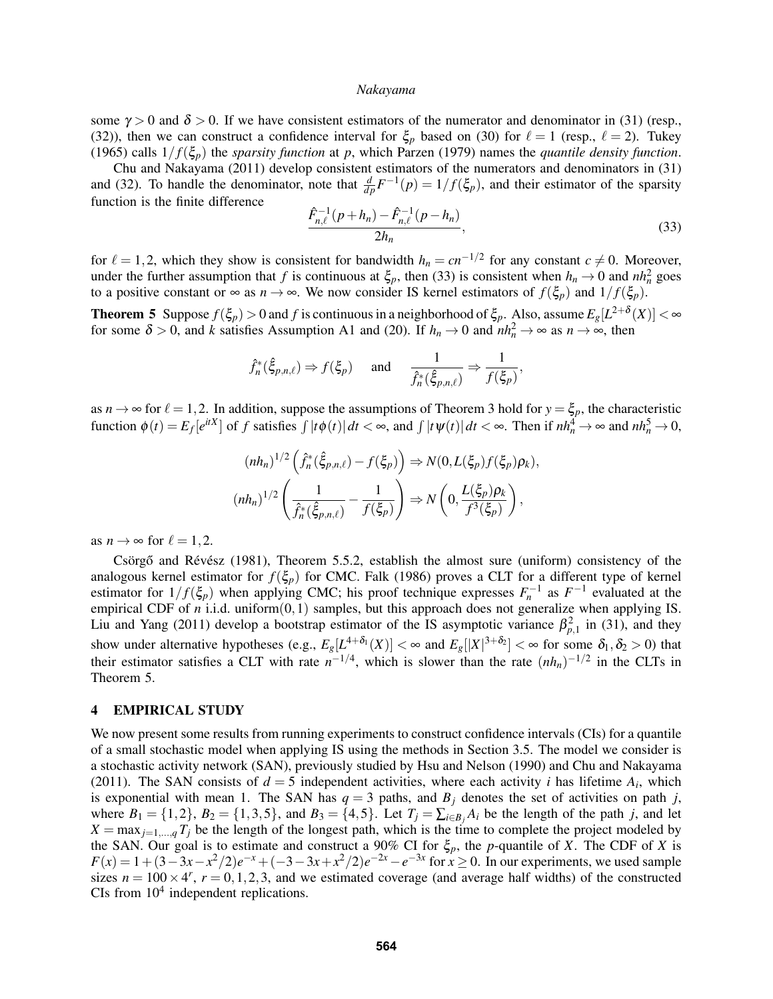some  $\gamma > 0$  and  $\delta > 0$ . If we have consistent estimators of the numerator and denominator in (31) (resp., (32)), then we can construct a confidence interval for  $\xi_p$  based on (30) for  $\ell = 1$  (resp.,  $\ell = 2$ ). Tukey (1965) calls  $1/f(\xi_p)$  the *sparsity function* at *p*, which Parzen (1979) names the *quantile density function*.

Chu and Nakayama (2011) develop consistent estimators of the numerators and denominators in (31) and (32). To handle the denominator, note that  $\frac{d}{dp}F^{-1}(p) = 1/f(\xi_p)$ , and their estimator of the sparsity function is the finite difference

$$
\frac{\hat{F}_{n,\ell}^{-1}(p+h_n) - \hat{F}_{n,\ell}^{-1}(p-h_n)}{2h_n},\tag{33}
$$

for  $\ell = 1,2$ , which they show is consistent for bandwidth  $h_n = cn^{-1/2}$  for any constant  $c \neq 0$ . Moreover, under the further assumption that *f* is continuous at  $\xi_p$ , then (33) is consistent when  $h_n \to 0$  and  $nh_n^2$  goes to a positive constant or  $\infty$  as  $n \to \infty$ . We now consider IS kernel estimators of  $f(\xi_p)$  and  $1/f(\xi_p)$ .

**Theorem 5** Suppose  $f(\xi_p) > 0$  and  $f$  is continuous in a neighborhood of  $\xi_p$ . Also, assume  $E_g[L^{2+\delta}(X)] < \infty$ for some  $\delta > 0$ , and *k* satisfies Assumption A1 and (20). If  $h_n \to 0$  and  $nh_n^2 \to \infty$  as  $n \to \infty$ , then

$$
\hat{f}_n^*(\hat{\xi}_{p,n,\ell}) \Rightarrow f(\xi_p) \quad \text{and} \quad \frac{1}{\hat{f}_n^*(\hat{\xi}_{p,n,\ell})} \Rightarrow \frac{1}{f(\xi_p)},
$$

as  $n \to \infty$  for  $\ell = 1,2$ . In addition, suppose the assumptions of Theorem 3 hold for  $y = \xi_p$ , the characteristic function  $\phi(t) = E_f[e^{itX}]$  of f satisfies  $\int |t\phi(t)| dt < \infty$ , and  $\int |t\psi(t)| dt < \infty$ . Then if  $nh_n^4 \to \infty$  and  $nh_n^5 \to 0$ ,

$$
(nh_n)^{1/2} \left( \hat{f}_n^*(\hat{\xi}_{p,n,\ell}) - f(\xi_p) \right) \Rightarrow N(0, L(\xi_p) f(\xi_p) \rho_k),
$$
  

$$
(nh_n)^{1/2} \left( \frac{1}{\hat{f}_n^*(\hat{\xi}_{p,n,\ell})} - \frac{1}{f(\xi_p)} \right) \Rightarrow N\left( 0, \frac{L(\xi_p) \rho_k}{f^3(\xi_p)} \right),
$$

as  $n \to \infty$  for  $\ell = 1, 2$ .

Csörgő and Révész (1981), Theorem 5.5.2, establish the almost sure (uniform) consistency of the analogous kernel estimator for  $f(\xi_p)$  for CMC. Falk (1986) proves a CLT for a different type of kernel estimator for  $1/f(\xi_p)$  when applying CMC; his proof technique expresses  $F_n^{-1}$  as  $F^{-1}$  evaluated at the empirical CDF of *n* i.i.d. uniform(0,1) samples, but this approach does not generalize when applying IS. Liu and Yang (2011) develop a bootstrap estimator of the IS asymptotic variance  $\beta_{p,1}^2$  in (31), and they show under alternative hypotheses (e.g.,  $E_g[L^{4+\delta_1}(X)] < \infty$  and  $E_g[|X|^{3+\delta_2}] < \infty$  for some  $\delta_1, \delta_2 > 0$ ) that their estimator satisfies a CLT with rate  $n^{-1/4}$ , which is slower than the rate  $(nh_n)^{-1/2}$  in the CLTs in Theorem 5.

#### 4 EMPIRICAL STUDY

We now present some results from running experiments to construct confidence intervals (CIs) for a quantile of a small stochastic model when applying IS using the methods in Section 3.5. The model we consider is a stochastic activity network (SAN), previously studied by Hsu and Nelson (1990) and Chu and Nakayama (2011). The SAN consists of  $d = 5$  independent activities, where each activity *i* has lifetime  $A_i$ , which is exponential with mean 1. The SAN has  $q = 3$  paths, and  $B_j$  denotes the set of activities on path *j*, where  $B_1 = \{1, 2\}$ ,  $B_2 = \{1, 3, 5\}$ , and  $B_3 = \{4, 5\}$ . Let  $T_j = \sum_{i \in B_j} A_i$  be the length of the path *j*, and let  $X = \max_{j=1,\dots,q} T_j$  be the length of the longest path, which is the time to complete the project modeled by the SAN. Our goal is to estimate and construct a 90% CI for  $\xi_p$ , the *p*-quantile of *X*. The CDF of *X* is  $F(x) = 1 + (3 - 3x - x^2/2)e^{-x} + (-3 - 3x + x^2/2)e^{-2x} - e^{-3x}$  for  $x \ge 0$ . In our experiments, we used sample sizes  $n = 100 \times 4^r$ ,  $r = 0, 1, 2, 3$ , and we estimated coverage (and average half widths) of the constructed CIs from  $10<sup>4</sup>$  independent replications.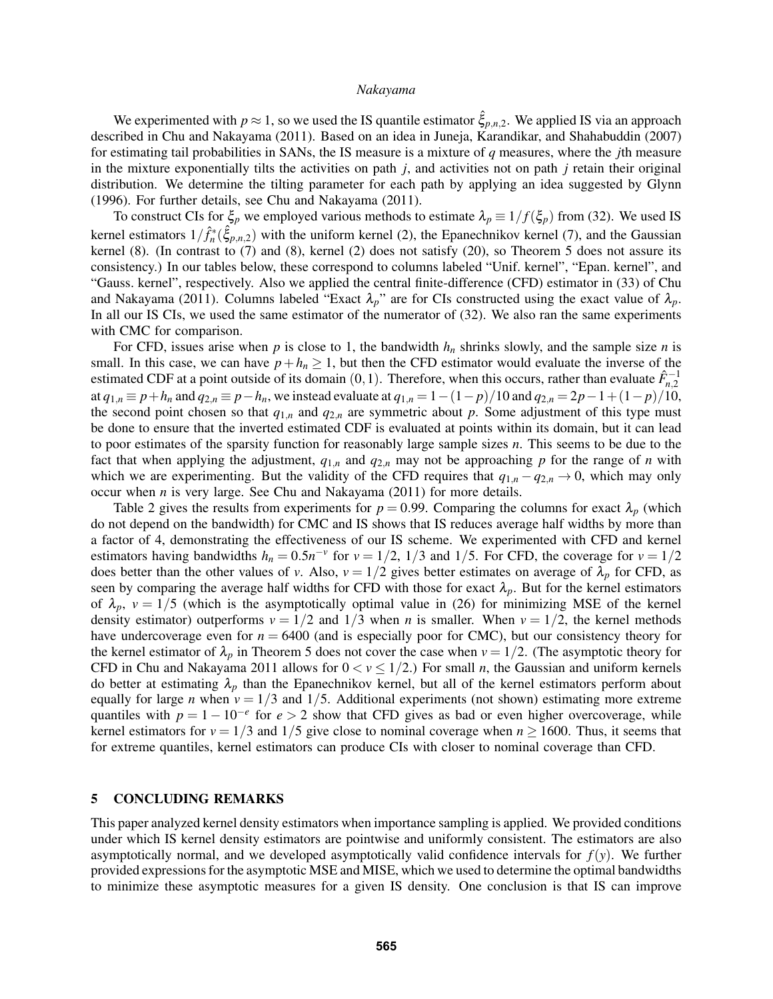We experimented with  $p \approx 1$ , so we used the IS quantile estimator  $\hat{\xi}_{p,n,2}$ . We applied IS via an approach described in Chu and Nakayama (2011). Based on an idea in Juneja, Karandikar, and Shahabuddin (2007) for estimating tail probabilities in SANs, the IS measure is a mixture of *q* measures, where the *j*th measure in the mixture exponentially tilts the activities on path *j*, and activities not on path *j* retain their original distribution. We determine the tilting parameter for each path by applying an idea suggested by Glynn (1996). For further details, see Chu and Nakayama (2011).

To construct CIs for  $\xi_p$  we employed various methods to estimate  $\lambda_p \equiv 1/f(\xi_p)$  from (32). We used IS kernel estimators  $1/\hat{f}_n^*(\hat{\xi}_{p,n,2})$  with the uniform kernel (2), the Epanechnikov kernel (7), and the Gaussian kernel (8). (In contrast to (7) and (8), kernel (2) does not satisfy (20), so Theorem 5 does not assure its consistency.) In our tables below, these correspond to columns labeled "Unif. kernel", "Epan. kernel", and "Gauss. kernel", respectively. Also we applied the central finite-difference (CFD) estimator in (33) of Chu and Nakayama (2011). Columns labeled "Exact  $\lambda_p$ " are for CIs constructed using the exact value of  $\lambda_p$ . In all our IS CIs, we used the same estimator of the numerator of (32). We also ran the same experiments with CMC for comparison.

For CFD, issues arise when  $p$  is close to 1, the bandwidth  $h_n$  shrinks slowly, and the sample size  $n$  is small. In this case, we can have  $p + h_n \ge 1$ , but then the CFD estimator would evaluate the inverse of the estimated CDF at a point outside of its domain  $(0, 1)$ . Therefore, when this occurs, rather than evaluate  $\hat{F}_{n,2}^{-1}$ at  $q_{1,n} \equiv p + h_n$  and  $q_{2,n} \equiv p - h_n$ , we instead evaluate at  $q_{1,n} = 1 - (1 - p)/10$  and  $q_{2,n} = 2p - 1 + (1 - p)/10$ , the second point chosen so that  $q_{1,n}$  and  $q_{2,n}$  are symmetric about  $p$ . Some adjustment of this type must be done to ensure that the inverted estimated CDF is evaluated at points within its domain, but it can lead to poor estimates of the sparsity function for reasonably large sample sizes *n*. This seems to be due to the fact that when applying the adjustment,  $q_{1,n}$  and  $q_{2,n}$  may not be approaching p for the range of *n* with which we are experimenting. But the validity of the CFD requires that  $q_{1,n} - q_{2,n} \to 0$ , which may only occur when *n* is very large. See Chu and Nakayama (2011) for more details.

Table 2 gives the results from experiments for  $p = 0.99$ . Comparing the columns for exact  $\lambda_p$  (which do not depend on the bandwidth) for CMC and IS shows that IS reduces average half widths by more than a factor of 4, demonstrating the effectiveness of our IS scheme. We experimented with CFD and kernel estimators having bandwidths  $h_n = 0.5n^{-\nu}$  for  $\nu = 1/2$ , 1/3 and 1/5. For CFD, the coverage for  $\nu = 1/2$ does better than the other values of *v*. Also,  $v = 1/2$  gives better estimates on average of  $\lambda_p$  for CFD, as seen by comparing the average half widths for CFD with those for exact  $\lambda_p$ . But for the kernel estimators of  $\lambda_p$ ,  $v = 1/5$  (which is the asymptotically optimal value in (26) for minimizing MSE of the kernel density estimator) outperforms  $v = 1/2$  and  $1/3$  when *n* is smaller. When  $v = 1/2$ , the kernel methods have undercoverage even for  $n = 6400$  (and is especially poor for CMC), but our consistency theory for the kernel estimator of  $\lambda_p$  in Theorem 5 does not cover the case when  $v = 1/2$ . (The asymptotic theory for CFD in Chu and Nakayama 2011 allows for  $0 < v \le 1/2$ .) For small *n*, the Gaussian and uniform kernels do better at estimating  $\lambda_p$  than the Epanechnikov kernel, but all of the kernel estimators perform about equally for large *n* when  $v = 1/3$  and 1/5. Additional experiments (not shown) estimating more extreme quantiles with  $p = 1 - 10^{-e}$  for  $e > 2$  show that CFD gives as bad or even higher overcoverage, while kernel estimators for  $v = 1/3$  and  $1/5$  give close to nominal coverage when  $n \ge 1600$ . Thus, it seems that for extreme quantiles, kernel estimators can produce CIs with closer to nominal coverage than CFD.

# 5 CONCLUDING REMARKS

This paper analyzed kernel density estimators when importance sampling is applied. We provided conditions under which IS kernel density estimators are pointwise and uniformly consistent. The estimators are also asymptotically normal, and we developed asymptotically valid confidence intervals for  $f(y)$ . We further provided expressions for the asymptotic MSE and MISE, which we used to determine the optimal bandwidths to minimize these asymptotic measures for a given IS density. One conclusion is that IS can improve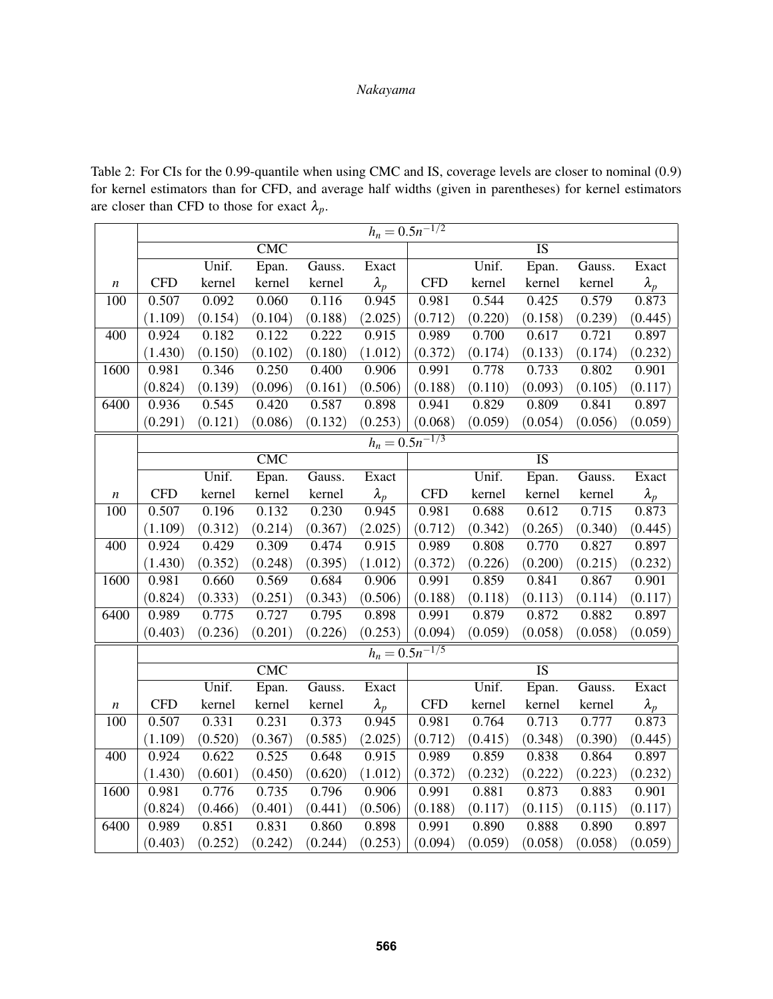Table 2: For CIs for the 0.99-quantile when using CMC and IS, coverage levels are closer to nominal (0.9) for kernel estimators than for CFD, and average half widths (given in parentheses) for kernel estimators are closer than CFD to those for exact  $\lambda_p$ .

|                     | $h_n = 0.5n^{-1/2}$            |         |                 |         |             |            |         |                 |         |               |
|---------------------|--------------------------------|---------|-----------------|---------|-------------|------------|---------|-----------------|---------|---------------|
|                     | $\overline{\text{CMC}}$        |         | $\overline{IS}$ |         |             |            |         |                 |         |               |
|                     |                                | Unif.   | Epan.           | Gauss.  | Exact       |            | Unif.   | Epan.           | Gauss.  | Exact         |
| n                   | <b>CFD</b>                     | kernel  | kernel          | kernel  | $\lambda_p$ | <b>CFD</b> | kernel  | kernel          | kernel  | $\lambda_p$   |
| 100                 | 0.507                          | 0.092   | 0.060           | 0.116   | 0.945       | 0.981      | 0.544   | 0.425           | 0.579   | 0.873         |
|                     | (1.109)                        | (0.154) | (0.104)         | (0.188) | (2.025)     | (0.712)    | (0.220) | (0.158)         | (0.239) | (0.445)       |
| 400                 | 0.924                          | 0.182   | 0.122           | 0.222   | 0.915       | 0.989      | 0.700   | 0.617           | 0.721   | 0.897         |
|                     | (1.430)                        | (0.150) | (0.102)         | (0.180) | (1.012)     | (0.372)    | (0.174) | (0.133)         | (0.174) | (0.232)       |
| 1600                | 0.981                          | 0.346   | 0.250           | 0.400   | 0.906       | 0.991      | 0.778   | 0.733           | 0.802   | 0.901         |
|                     | (0.824)                        | (0.139) | (0.096)         | (0.161) | (0.506)     | (0.188)    | (0.110) | (0.093)         | (0.105) | (0.117)       |
| 6400                | 0.936                          | 0.545   | 0.420           | 0.587   | 0.898       | 0.941      | 0.829   | 0.809           | 0.841   | 0.897         |
|                     | (0.291)                        | (0.121) | (0.086)         | (0.132) | (0.253)     | (0.068)    | (0.059) | (0.054)         | (0.056) | (0.059)       |
| $h_n = 0.5n^{-1/3}$ |                                |         |                 |         |             |            |         |                 |         |               |
|                     |                                |         | CMC             |         |             |            |         | $\overline{1S}$ |         |               |
|                     |                                | Unif.   | Epan.           | Gauss.  | Exact       |            | Unif.   | Epan.           | Gauss.  | Exact         |
| $\boldsymbol{n}$    | <b>CFD</b>                     | kernel  | kernel          | kernel  | $\lambda_p$ | <b>CFD</b> | kernel  | kernel          | kernel  | $\lambda_p$   |
| 100                 | 0.507                          | 0.196   | 0.132           | 0.230   | 0.945       | 0.981      | 0.688   | 0.612           | 0.715   | 0.873         |
|                     | (1.109)                        | (0.312) | (0.214)         | (0.367) | (2.025)     | (0.712)    | (0.342) | (0.265)         | (0.340) | (0.445)       |
| 400                 | 0.924                          | 0.429   | 0.309           | 0.474   | 0.915       | 0.989      | 0.808   | 0.770           | 0.827   | 0.897         |
|                     | (1.430)                        | (0.352) | (0.248)         | (0.395) | (1.012)     | (0.372)    | (0.226) | (0.200)         | (0.215) | (0.232)       |
| 1600                | 0.981                          | 0.660   | 0.569           | 0.684   | 0.906       | 0.991      | 0.859   | 0.841           | 0.867   | 0.901         |
|                     | (0.824)                        | (0.333) | (0.251)         | (0.343) | (0.506)     | (0.188)    | (0.118) | (0.113)         | (0.114) | (0.117)       |
| 6400                | 0.989                          | 0.775   | 0.727           | 0.795   | 0.898       | 0.991      | 0.879   | 0.872           | 0.882   | 0.897         |
|                     | (0.403)                        | (0.236) | (0.201)         | (0.226) | (0.253)     | (0.094)    | (0.059) | (0.058)         | (0.058) | (0.059)       |
|                     | $h_n = \overline{0.5n^{-1/5}}$ |         |                 |         |             |            |         |                 |         |               |
|                     |                                |         | CMC             |         |             |            |         | <b>IS</b>       |         |               |
|                     |                                | Unif.   | Epan.           | Gauss.  | Exact       |            | Unif.   | Epan.           | Gauss.  | Exact         |
| n                   | <b>CFD</b>                     | kernel  | kernel          | kernel  | $\lambda_p$ | <b>CFD</b> | kernel  | kernel          | kernel  | $\lambda_{p}$ |
| 100                 | 0.507                          | 0.331   | 0.231           | 0.373   | 0.945       | 0.981      | 0.764   | 0.713           | 0.777   | 0.873         |
|                     | (1.109)                        | (0.520) | (0.367)         | (0.585) | (2.025)     | (0.712)    | (0.415) | (0.348)         | (0.390) | (0.445)       |
| 400                 | 0.924                          | 0.622   | 0.525           | 0.648   | 0.915       | 0.989      | 0.859   | 0.838           | 0.864   | 0.897         |
|                     | (1.430)                        | (0.601) | (0.450)         | (0.620) | (1.012)     | (0.372)    | (0.232) | (0.222)         | (0.223) | (0.232)       |
| 1600                | 0.981                          | 0.776   | 0.735           | 0.796   | 0.906       | 0.991      | 0.881   | 0.873           | 0.883   | 0.901         |
|                     | (0.824)                        | (0.466) | (0.401)         | (0.441) | (0.506)     | (0.188)    | (0.117) | (0.115)         | (0.115) | (0.117)       |
| 6400                | 0.989                          | 0.851   | 0.831           | 0.860   | 0.898       | 0.991      | 0.890   | 0.888           | 0.890   | 0.897         |
|                     | (0.403)                        | (0.252) | (0.242)         | (0.244) | (0.253)     | (0.094)    | (0.059) | (0.058)         | (0.058) | (0.059)       |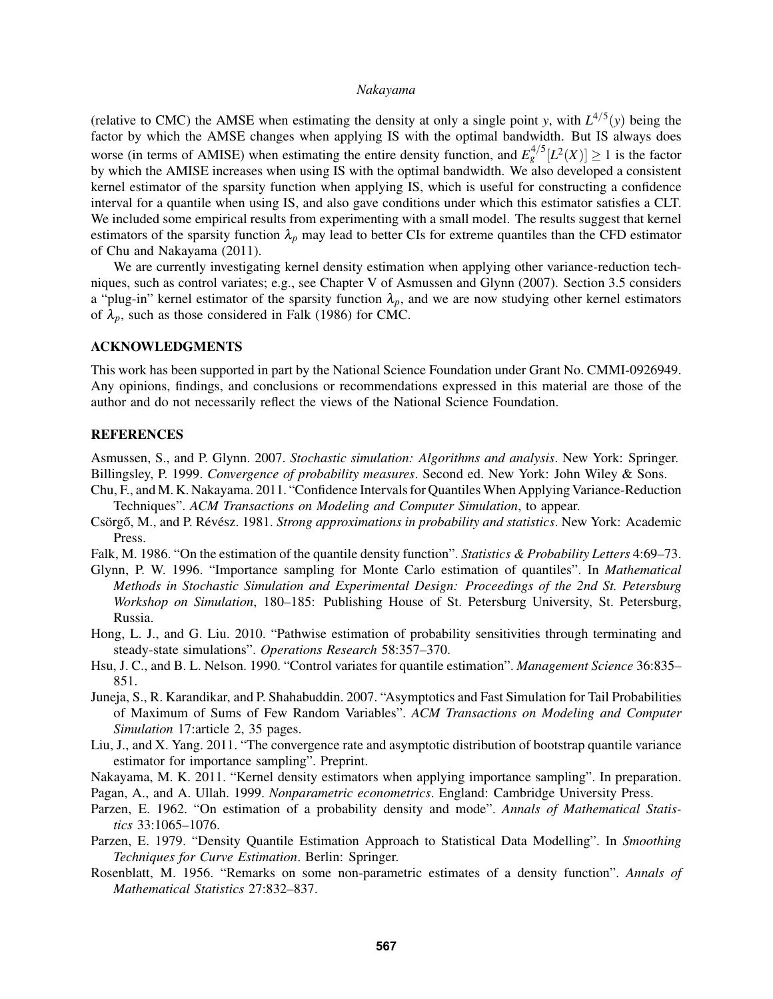(relative to CMC) the AMSE when estimating the density at only a single point *y*, with  $L^{4/5}(y)$  being the factor by which the AMSE changes when applying IS with the optimal bandwidth. But IS always does worse (in terms of AMISE) when estimating the entire density function, and  $E_g^{4/5}[L^2(X)] \ge 1$  is the factor by which the AMISE increases when using IS with the optimal bandwidth. We also developed a consistent kernel estimator of the sparsity function when applying IS, which is useful for constructing a confidence interval for a quantile when using IS, and also gave conditions under which this estimator satisfies a CLT. We included some empirical results from experimenting with a small model. The results suggest that kernel estimators of the sparsity function  $\lambda_p$  may lead to better CIs for extreme quantiles than the CFD estimator of Chu and Nakayama (2011).

We are currently investigating kernel density estimation when applying other variance-reduction techniques, such as control variates; e.g., see Chapter V of Asmussen and Glynn (2007). Section 3.5 considers a "plug-in" kernel estimator of the sparsity function  $\lambda_p$ , and we are now studying other kernel estimators of  $\lambda_p$ , such as those considered in Falk (1986) for CMC.

# ACKNOWLEDGMENTS

This work has been supported in part by the National Science Foundation under Grant No. CMMI-0926949. Any opinions, findings, and conclusions or recommendations expressed in this material are those of the author and do not necessarily reflect the views of the National Science Foundation.

## REFERENCES

Asmussen, S., and P. Glynn. 2007. *Stochastic simulation: Algorithms and analysis*. New York: Springer. Billingsley, P. 1999. *Convergence of probability measures*. Second ed. New York: John Wiley & Sons.

- Chu, F., and M. K. Nakayama. 2011. "Confidence Intervals for QuantilesWhen Applying Variance-Reduction Techniques". *ACM Transactions on Modeling and Computer Simulation*, to appear.
- Csörgő, M., and P. Révész. 1981. *Strong approximations in probability and statistics*. New York: Academic Press.
- Falk, M. 1986. "On the estimation of the quantile density function". *Statistics & Probability Letters* 4:69–73.
- Glynn, P. W. 1996. "Importance sampling for Monte Carlo estimation of quantiles". In *Mathematical Methods in Stochastic Simulation and Experimental Design: Proceedings of the 2nd St. Petersburg Workshop on Simulation*, 180–185: Publishing House of St. Petersburg University, St. Petersburg, Russia.
- Hong, L. J., and G. Liu. 2010. "Pathwise estimation of probability sensitivities through terminating and steady-state simulations". *Operations Research* 58:357–370.
- Hsu, J. C., and B. L. Nelson. 1990. "Control variates for quantile estimation". *Management Science* 36:835– 851.
- Juneja, S., R. Karandikar, and P. Shahabuddin. 2007. "Asymptotics and Fast Simulation for Tail Probabilities of Maximum of Sums of Few Random Variables". *ACM Transactions on Modeling and Computer Simulation* 17:article 2, 35 pages.
- Liu, J., and X. Yang. 2011. "The convergence rate and asymptotic distribution of bootstrap quantile variance estimator for importance sampling". Preprint.
- Nakayama, M. K. 2011. "Kernel density estimators when applying importance sampling". In preparation.

Pagan, A., and A. Ullah. 1999. *Nonparametric econometrics*. England: Cambridge University Press.

- Parzen, E. 1962. "On estimation of a probability density and mode". *Annals of Mathematical Statistics* 33:1065–1076.
- Parzen, E. 1979. "Density Quantile Estimation Approach to Statistical Data Modelling". In *Smoothing Techniques for Curve Estimation*. Berlin: Springer.
- Rosenblatt, M. 1956. "Remarks on some non-parametric estimates of a density function". *Annals of Mathematical Statistics* 27:832–837.